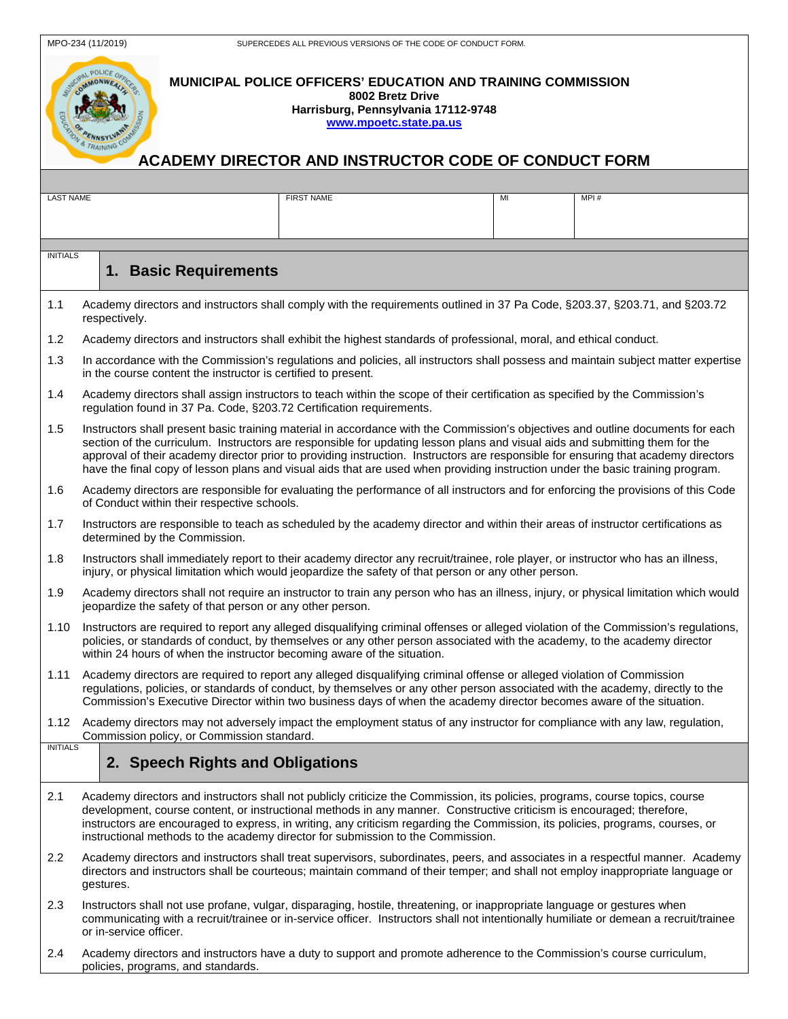| COMMONWEAUX                       |      |
|-----------------------------------|------|
|                                   |      |
|                                   | Slow |
| <b>PER ACTIVITY OF CONTRACTOR</b> |      |
|                                   |      |
|                                   |      |
|                                   | АC   |
|                                   |      |

## **MUNICIPAL POLICE OFFICERS' EDUCATION AND TRAINING COMMISSION 8002 Bretz Drive Harrisburg, Pennsylvania 17112-9748 [www.mpoetc.state.pa.us](http://www.mpoetc.state.pa.us/)**

## **CADEMY DIRECTOR AND INSTRUCTOR CODE OF CONDUCT FORM**

| <b>LAST NAME</b>                                    |                                                                                                                                                                                                                                                                                                                                                                                                                                                                                                                                         | <b>FIRST NAME</b> | MI | MPI# |  |
|-----------------------------------------------------|-----------------------------------------------------------------------------------------------------------------------------------------------------------------------------------------------------------------------------------------------------------------------------------------------------------------------------------------------------------------------------------------------------------------------------------------------------------------------------------------------------------------------------------------|-------------------|----|------|--|
|                                                     |                                                                                                                                                                                                                                                                                                                                                                                                                                                                                                                                         |                   |    |      |  |
|                                                     |                                                                                                                                                                                                                                                                                                                                                                                                                                                                                                                                         |                   |    |      |  |
| <b>INITIALS</b>                                     |                                                                                                                                                                                                                                                                                                                                                                                                                                                                                                                                         |                   |    |      |  |
|                                                     | 1. Basic Requirements                                                                                                                                                                                                                                                                                                                                                                                                                                                                                                                   |                   |    |      |  |
| 1.1                                                 | Academy directors and instructors shall comply with the requirements outlined in 37 Pa Code, §203.37, §203.71, and §203.72<br>respectively.                                                                                                                                                                                                                                                                                                                                                                                             |                   |    |      |  |
| 1.2                                                 | Academy directors and instructors shall exhibit the highest standards of professional, moral, and ethical conduct.                                                                                                                                                                                                                                                                                                                                                                                                                      |                   |    |      |  |
| 1.3                                                 | In accordance with the Commission's regulations and policies, all instructors shall possess and maintain subject matter expertise<br>in the course content the instructor is certified to present.                                                                                                                                                                                                                                                                                                                                      |                   |    |      |  |
| 1.4                                                 | Academy directors shall assign instructors to teach within the scope of their certification as specified by the Commission's<br>regulation found in 37 Pa. Code, §203.72 Certification requirements.                                                                                                                                                                                                                                                                                                                                    |                   |    |      |  |
| 1.5                                                 | Instructors shall present basic training material in accordance with the Commission's objectives and outline documents for each<br>section of the curriculum. Instructors are responsible for updating lesson plans and visual aids and submitting them for the<br>approval of their academy director prior to providing instruction. Instructors are responsible for ensuring that academy directors<br>have the final copy of lesson plans and visual aids that are used when providing instruction under the basic training program. |                   |    |      |  |
| 1.6                                                 | Academy directors are responsible for evaluating the performance of all instructors and for enforcing the provisions of this Code<br>of Conduct within their respective schools.                                                                                                                                                                                                                                                                                                                                                        |                   |    |      |  |
| 1.7                                                 | Instructors are responsible to teach as scheduled by the academy director and within their areas of instructor certifications as<br>determined by the Commission.                                                                                                                                                                                                                                                                                                                                                                       |                   |    |      |  |
| 1.8                                                 | Instructors shall immediately report to their academy director any recruit/trainee, role player, or instructor who has an illness,<br>injury, or physical limitation which would jeopardize the safety of that person or any other person.                                                                                                                                                                                                                                                                                              |                   |    |      |  |
| 1.9                                                 | Academy directors shall not require an instructor to train any person who has an illness, injury, or physical limitation which would<br>jeopardize the safety of that person or any other person.                                                                                                                                                                                                                                                                                                                                       |                   |    |      |  |
| 1.10                                                | Instructors are required to report any alleged disqualifying criminal offenses or alleged violation of the Commission's regulations,<br>policies, or standards of conduct, by themselves or any other person associated with the academy, to the academy director<br>within 24 hours of when the instructor becoming aware of the situation.                                                                                                                                                                                            |                   |    |      |  |
| 1.11                                                | Academy directors are required to report any alleged disqualifying criminal offense or alleged violation of Commission<br>regulations, policies, or standards of conduct, by themselves or any other person associated with the academy, directly to the<br>Commission's Executive Director within two business days of when the academy director becomes aware of the situation.                                                                                                                                                       |                   |    |      |  |
| 1.12                                                | Academy directors may not adversely impact the employment status of any instructor for compliance with any law, regulation,<br>Commission policy, or Commission standard.                                                                                                                                                                                                                                                                                                                                                               |                   |    |      |  |
| <b>INITIALS</b><br>2. Speech Rights and Obligations |                                                                                                                                                                                                                                                                                                                                                                                                                                                                                                                                         |                   |    |      |  |
| 2.1                                                 | Academy directors and instructors shall not publicly criticize the Commission, its policies, programs, course topics, course<br>development, course content, or instructional methods in any manner. Constructive criticism is encouraged; therefore,<br>instructors are encouraged to express, in writing, any criticism regarding the Commission, its policies, programs, courses, or<br>instructional methods to the academy director for submission to the Commission.                                                              |                   |    |      |  |
| 2.2                                                 | Academy directors and instructors shall treat supervisors, subordinates, peers, and associates in a respectful manner. Academy<br>directors and instructors shall be courteous; maintain command of their temper; and shall not employ inappropriate language or<br>gestures.                                                                                                                                                                                                                                                           |                   |    |      |  |
| 2.3                                                 | Instructors shall not use profane, vulgar, disparaging, hostile, threatening, or inappropriate language or gestures when<br>communicating with a recruit/trainee or in-service officer. Instructors shall not intentionally humiliate or demean a recruit/trainee<br>or in-service officer.                                                                                                                                                                                                                                             |                   |    |      |  |
| 2.4                                                 | Academy directors and instructors have a duty to support and promote adherence to the Commission's course curriculum,<br>policies, programs, and standards.                                                                                                                                                                                                                                                                                                                                                                             |                   |    |      |  |